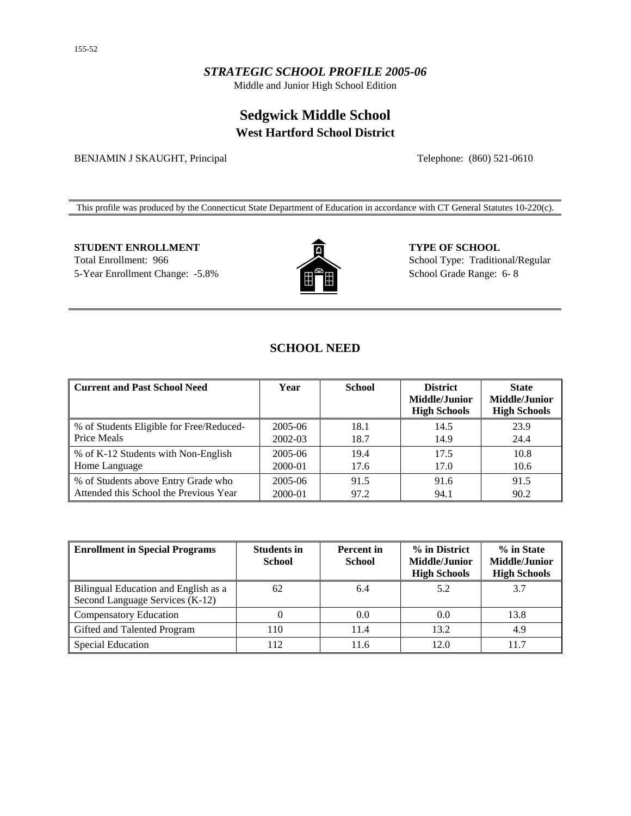### *STRATEGIC SCHOOL PROFILE 2005-06*

Middle and Junior High School Edition

# **Sedgwick Middle School West Hartford School District**

BENJAMIN J SKAUGHT, Principal Telephone: (860) 521-0610

This profile was produced by the Connecticut State Department of Education in accordance with CT General Statutes 10-220(c).

**STUDENT ENROLLMENT 6 CHOOL CONSUMERT 5 CHOOL** 

Total Enrollment: 966 5-Year Enrollment Change: -5.8%



School Type: Traditional/Regular School Grade Range: 6- 8

## **SCHOOL NEED**

| Current and Past School Need             | Year    | <b>School</b> | <b>District</b><br>Middle/Junior<br><b>High Schools</b> | <b>State</b><br><b>Middle/Junior</b><br><b>High Schools</b> |
|------------------------------------------|---------|---------------|---------------------------------------------------------|-------------------------------------------------------------|
| % of Students Eligible for Free/Reduced- | 2005-06 | 18.1          | 14.5                                                    | 23.9                                                        |
| <b>Price Meals</b>                       | 2002-03 | 18.7          | 14.9                                                    | 24.4                                                        |
| \% of K-12 Students with Non-English     | 2005-06 | 19.4          | 17.5                                                    | 10.8                                                        |
| Home Language                            | 2000-01 | 17.6          | 17.0                                                    | 10.6                                                        |
| ■ % of Students above Entry Grade who    | 2005-06 | 91.5          | 91.6                                                    | 91.5                                                        |
| Attended this School the Previous Year   | 2000-01 | 97.2          | 94.1                                                    | 90.2                                                        |

| <b>Enrollment in Special Programs</b>                                   | <b>Students in</b><br><b>School</b> | <b>Percent</b> in<br><b>School</b> | % in District<br>Middle/Junior<br><b>High Schools</b> | % in State<br>Middle/Junior<br><b>High Schools</b> |
|-------------------------------------------------------------------------|-------------------------------------|------------------------------------|-------------------------------------------------------|----------------------------------------------------|
| Bilingual Education and English as a<br>Second Language Services (K-12) | 62                                  | 6.4                                | 5.2                                                   | 3.7                                                |
| <b>Compensatory Education</b>                                           |                                     | 0.0                                | 0.0                                                   | 13.8                                               |
| Gifted and Talented Program                                             | 110                                 | 11.4                               | 13.2                                                  | 4.9                                                |
| Special Education                                                       | 12                                  | 11.6                               | 12.0                                                  | 11.7                                               |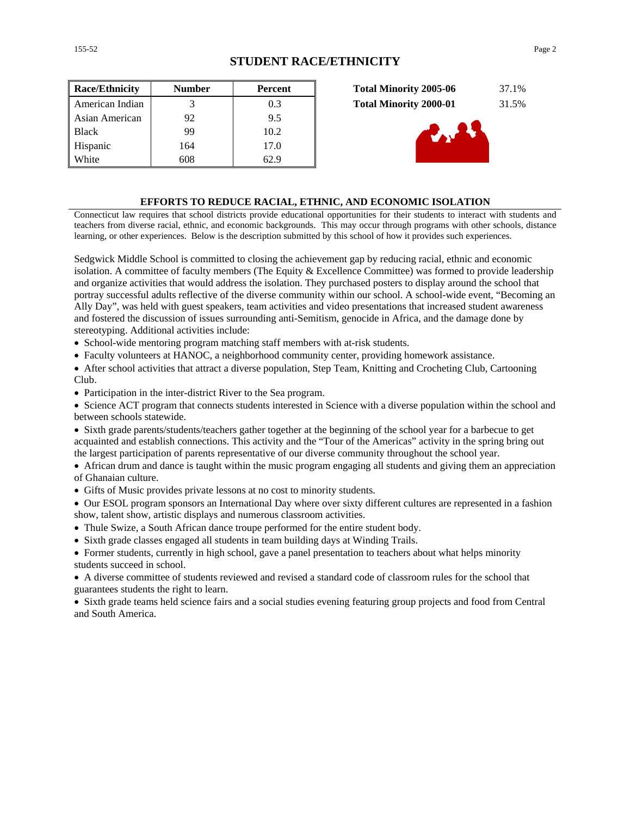| <b>Race/Ethnicity</b> | <b>Number</b> | Percent | <b>Total Minority 2005-06</b> | 37.1% |
|-----------------------|---------------|---------|-------------------------------|-------|
| American Indian       |               | 0.3     | <b>Total Minority 2000-01</b> | 31.5% |
| Asian American        | 92            | 9.5     |                               |       |
| <b>Black</b>          | 99            | 10.2    | d. 27                         |       |
| Hispanic              | 164           | 17.0    |                               |       |
| White                 | 608           | 62.9    |                               |       |

| <b>Total Minority 2005-06</b> | 37.1% |
|-------------------------------|-------|
| <b>Total Minority 2000-01</b> | 31.5% |



#### **EFFORTS TO REDUCE RACIAL, ETHNIC, AND ECONOMIC ISOLATION**

Connecticut law requires that school districts provide educational opportunities for their students to interact with students and teachers from diverse racial, ethnic, and economic backgrounds. This may occur through programs with other schools, distance learning, or other experiences. Below is the description submitted by this school of how it provides such experiences.

Sedgwick Middle School is committed to closing the achievement gap by reducing racial, ethnic and economic isolation. A committee of faculty members (The Equity & Excellence Committee) was formed to provide leadership and organize activities that would address the isolation. They purchased posters to display around the school that portray successful adults reflective of the diverse community within our school. A school-wide event, "Becoming an Ally Day", was held with guest speakers, team activities and video presentations that increased student awareness and fostered the discussion of issues surrounding anti-Semitism, genocide in Africa, and the damage done by stereotyping. Additional activities include:

• School-wide mentoring program matching staff members with at-risk students.

• Faculty volunteers at HANOC, a neighborhood community center, providing homework assistance.

• After school activities that attract a diverse population, Step Team, Knitting and Crocheting Club, Cartooning Club.

• Participation in the inter-district River to the Sea program.

• Science ACT program that connects students interested in Science with a diverse population within the school and between schools statewide.

• Sixth grade parents/students/teachers gather together at the beginning of the school year for a barbecue to get acquainted and establish connections. This activity and the "Tour of the Americas" activity in the spring bring out the largest participation of parents representative of our diverse community throughout the school year.

• African drum and dance is taught within the music program engaging all students and giving them an appreciation of Ghanaian culture.

• Gifts of Music provides private lessons at no cost to minority students.

• Our ESOL program sponsors an International Day where over sixty different cultures are represented in a fashion show, talent show, artistic displays and numerous classroom activities.

- Thule Swize, a South African dance troupe performed for the entire student body.
- Sixth grade classes engaged all students in team building days at Winding Trails.
- Former students, currently in high school, gave a panel presentation to teachers about what helps minority students succeed in school.

• A diverse committee of students reviewed and revised a standard code of classroom rules for the school that guarantees students the right to learn.

• Sixth grade teams held science fairs and a social studies evening featuring group projects and food from Central and South America.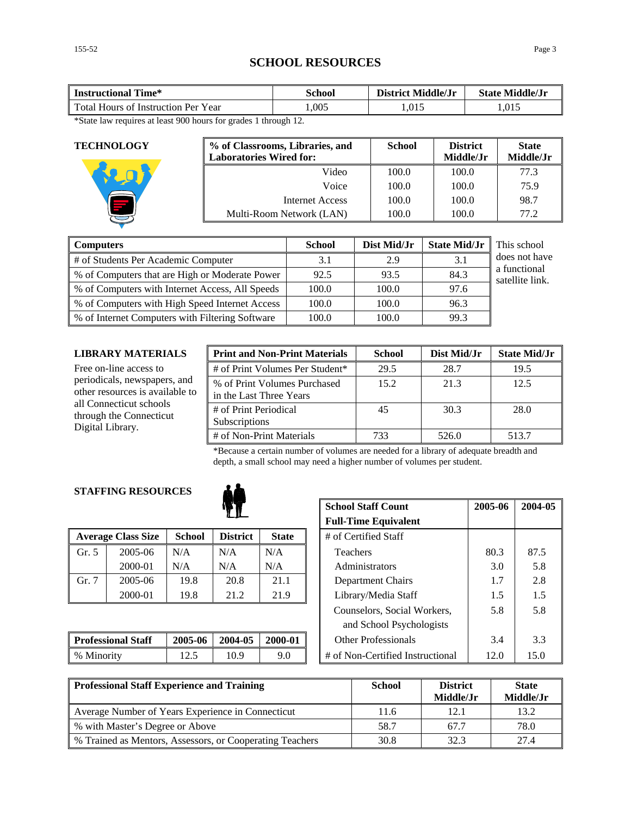# **SCHOOL RESOURCES**

| Time*<br><b>Instructional</b>          | School | District Middle/Jr | <b>State Middle/Jr</b> |  |
|----------------------------------------|--------|--------------------|------------------------|--|
| Total Hours of<br>Histruction Per Year | ,005   | 1,015              | 1.015                  |  |

\*State law requires at least 900 hours for grades 1 through 12.

| <b>TECHNOLOGY</b> | % of Classrooms, Libraries, and<br><b>Laboratories Wired for:</b> | <b>School</b> | <b>District</b><br>Middle/Jr | <b>State</b><br>Middle/Jr |
|-------------------|-------------------------------------------------------------------|---------------|------------------------------|---------------------------|
|                   | Video                                                             | 100.0         | 100.0                        | 77.3                      |
|                   | Voice                                                             | 100.0         | 100.0                        | 75.9                      |
|                   | Internet Access                                                   | 100.0         | 100.0                        | 98.7                      |
|                   | Multi-Room Network (LAN)                                          | 100.0         | 100.0                        | 77.2                      |

| <b>Computers</b>                                | <b>School</b> | Dist Mid/Jr | <b>State Mid/Jr</b> | This school                     |
|-------------------------------------------------|---------------|-------------|---------------------|---------------------------------|
| # of Students Per Academic Computer             | 3.1           | 2.9         | 3.1                 | does not have                   |
| % of Computers that are High or Moderate Power  | 92.5          | 93.5        | 84.3                | a functional<br>satellite link. |
| % of Computers with Internet Access, All Speeds | 100.0         | 100.0       | 97.6                |                                 |
| % of Computers with High Speed Internet Access  | 100.0         | 100.0       | 96.3                |                                 |
| % of Internet Computers with Filtering Software | 100.0         | 100.0       | 99.3                |                                 |

#### **LIBRARY MATERIALS**

| LIBRARY MATERIALS                                                      | <b>Print and Non-Print Materials</b>                    | <b>School</b> | Dist Mid/Jr | <b>State Mid/Jr</b> |
|------------------------------------------------------------------------|---------------------------------------------------------|---------------|-------------|---------------------|
| Free on-line access to                                                 | # of Print Volumes Per Student*                         | 29.5          | 28.7        | 19.5                |
| periodicals, newspapers, and<br>other resources is available to        | % of Print Volumes Purchased<br>in the Last Three Years | 15.2          | 21.3        | 12.5                |
| all Connecticut schools<br>through the Connecticut<br>Digital Library. | # of Print Periodical<br>Subscriptions                  | 45            | 30.3        | 28.0                |
|                                                                        | # of Non-Print Materials                                | 733           | 526.0       | 513.7               |

\*Because a certain number of volumes are needed for a library of adequate breadth and depth, a small school may need a higher number of volumes per student.

#### **STAFFING RESOURCES**



|       | <b>Average Class Size</b> | <b>School</b> | <b>District</b> | <b>State</b> | # of Certified Staff |      |      |
|-------|---------------------------|---------------|-----------------|--------------|----------------------|------|------|
| Gr. 5 | 2005-06                   | N/A           | N/A             | N/A          | Teachers             | 80.3 | 87.5 |
|       | 2000-01                   | N/A           | N/A             | N/A          | Administrators       | 3.0  | 5.8  |
| Gr. 7 | 2005-06                   | 19.8          | 20.8            | 21.1         | Department Chairs    |      | 2.8  |
|       | 2000-01                   | 19.8          | 21.2            | 21.9         | Library/Media Staff  | 1.5  | 1.5  |

| <b>Professional Staff</b> | 2005-06 | 2004-05 | 2000-01 | Other Professionals                 |     |  |
|---------------------------|---------|---------|---------|-------------------------------------|-----|--|
| % Minority                | ن د سک  |         |         | $\#$ of Non-Certified Instructional | . J |  |

|            |               | <b>School Staff Count</b> | 2005-06                     | 2004-05 |                                  |      |      |
|------------|---------------|---------------------------|-----------------------------|---------|----------------------------------|------|------|
|            |               |                           | <b>Full-Time Equivalent</b> |         |                                  |      |      |
| `lass Size | <b>School</b> | <b>District</b>           | <b>State</b>                |         | # of Certified Staff             |      |      |
| 2005-06    | N/A           | N/A                       | N/A                         |         | <b>Teachers</b>                  | 80.3 | 87.5 |
| 2000-01    | N/A           | N/A                       | N/A                         |         | <b>Administrators</b>            | 3.0  | 5.8  |
| 2005-06    | 19.8          | 20.8                      | 21.1                        |         | Department Chairs                | 1.7  | 2.8  |
| 2000-01    | 19.8          | 21.2                      | 21.9                        |         | Library/Media Staff              | 1.5  | 1.5  |
|            |               |                           |                             |         | Counselors, Social Workers,      | 5.8  | 5.8  |
|            |               |                           |                             |         | and School Psychologists         |      |      |
| al Staff   | 2005-06       | 2004-05                   | 2000-01                     |         | <b>Other Professionals</b>       | 3.4  | 3.3  |
|            | 12.5          | 10.9                      | 9.0                         |         | # of Non-Certified Instructional | 12.0 | 15.0 |

| Professional Staff Experience and Training               | <b>School</b> | <b>District</b><br>Middle/Jr | <b>State</b><br>Middle/Jr |
|----------------------------------------------------------|---------------|------------------------------|---------------------------|
| Average Number of Years Experience in Connecticut        | 11.6          | 12.1                         | 13.2                      |
| % with Master's Degree or Above                          | 58.7          | 67.7                         | 78.0                      |
| % Trained as Mentors, Assessors, or Cooperating Teachers | 30.8          | 32.3                         | 27.4                      |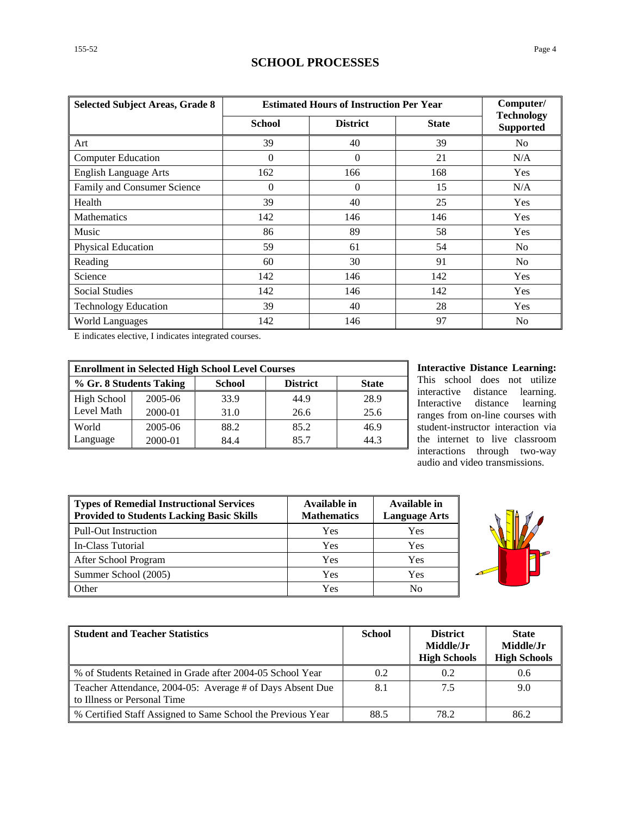### **SCHOOL PROCESSES**

| <b>Selected Subject Areas, Grade 8</b> | <b>Estimated Hours of Instruction Per Year</b> |                 |              | Computer/                             |
|----------------------------------------|------------------------------------------------|-----------------|--------------|---------------------------------------|
|                                        | <b>School</b>                                  | <b>District</b> | <b>State</b> | <b>Technology</b><br><b>Supported</b> |
| Art                                    | 39                                             | 40              | 39           | No                                    |
| <b>Computer Education</b>              | $\Omega$                                       | $\Omega$        | 21           | N/A                                   |
| <b>English Language Arts</b>           | 162                                            | 166             | 168          | Yes                                   |
| Family and Consumer Science            | $\theta$                                       | $\Omega$        | 15           | N/A                                   |
| Health                                 | 39                                             | 40              | 25           | Yes                                   |
| <b>Mathematics</b>                     | 142                                            | 146             | 146          | Yes                                   |
| Music                                  | 86                                             | 89              | 58           | Yes                                   |
| Physical Education                     | 59                                             | 61              | 54           | No                                    |
| Reading                                | 60                                             | 30              | 91           | No                                    |
| Science                                | 142                                            | 146             | 142          | Yes                                   |
| <b>Social Studies</b>                  | 142                                            | 146             | 142          | Yes                                   |
| <b>Technology Education</b>            | 39                                             | 40              | 28           | Yes                                   |
| <b>World Languages</b>                 | 142                                            | 146             | 97           | N <sub>0</sub>                        |

E indicates elective, I indicates integrated courses.

| <b>Enrollment in Selected High School Level Courses</b> |         |               |                 |              |  |  |
|---------------------------------------------------------|---------|---------------|-----------------|--------------|--|--|
| % Gr. 8 Students Taking                                 |         | <b>School</b> | <b>District</b> | <b>State</b> |  |  |
| High School                                             | 2005-06 | 33.9          | 44.9            | 28.9         |  |  |
| Level Math                                              | 2000-01 | 31.0          | 26.6            | 25.6         |  |  |
| World                                                   | 2005-06 | 88.2          | 85.2            | 46.9         |  |  |
| Language                                                | 2000-01 | 84.4          | 85.7            | 44.3         |  |  |

**Interactive Distance Learning:** This school does not utilize interactive distance learning. Interactive distance learning ranges from on-line courses with student-instructor interaction via the internet to live classroom interactions through two-way audio and video transmissions.

| <b>Types of Remedial Instructional Services</b><br><b>Provided to Students Lacking Basic Skills</b> | Available in<br><b>Mathematics</b> | Available in<br><b>Language Arts</b> |
|-----------------------------------------------------------------------------------------------------|------------------------------------|--------------------------------------|
| <b>Pull-Out Instruction</b>                                                                         | Yes                                | Yes                                  |
| In-Class Tutorial                                                                                   | Yes                                | Yes                                  |
| After School Program                                                                                | Yes                                | Yes                                  |
| Summer School (2005)                                                                                | Yes                                | Yes                                  |
| Other                                                                                               | Yes                                | No                                   |



| <b>Student and Teacher Statistics</b>                                                    | <b>School</b> | <b>District</b><br>Middle/Jr<br><b>High Schools</b> | <b>State</b><br>Middle/Jr<br><b>High Schools</b> |
|------------------------------------------------------------------------------------------|---------------|-----------------------------------------------------|--------------------------------------------------|
| % of Students Retained in Grade after 2004-05 School Year                                | 0.2           | 0.2                                                 | 0.6                                              |
| Teacher Attendance, 2004-05: Average # of Days Absent Due<br>to Illness or Personal Time | 8.1           | 7.5                                                 | 9.0                                              |
| % Certified Staff Assigned to Same School the Previous Year                              | 88.5          | 78.2                                                | 86.2                                             |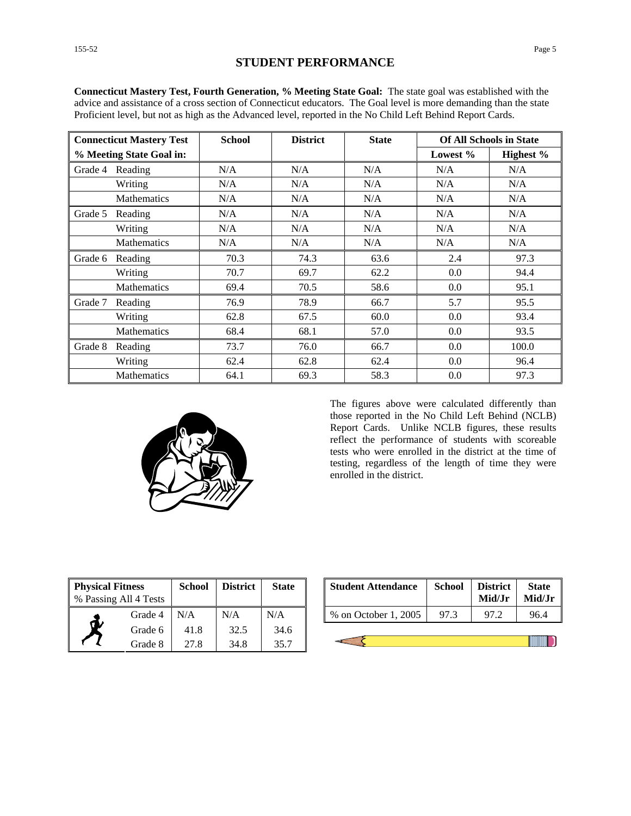| <b>Connecticut Mastery Test</b> |                          | <b>School</b> | <b>District</b> | <b>State</b> |            | <b>Of All Schools in State</b> |
|---------------------------------|--------------------------|---------------|-----------------|--------------|------------|--------------------------------|
|                                 | % Meeting State Goal in: |               |                 |              | Lowest $%$ | Highest %                      |
| Grade 4                         | Reading                  | N/A           | N/A             | N/A          | N/A        | N/A                            |
|                                 | Writing                  | N/A           | N/A             | N/A          | N/A        | N/A                            |
|                                 | <b>Mathematics</b>       | N/A           | N/A             | N/A          | N/A        | N/A                            |
| Grade 5                         | Reading                  | N/A           | N/A             | N/A          | N/A        | N/A                            |
|                                 | Writing                  | N/A           | N/A             | N/A          | N/A        | N/A                            |
|                                 | <b>Mathematics</b>       | N/A           | N/A             | N/A          | N/A        | N/A                            |
| Grade 6                         | Reading                  | 70.3          | 74.3            | 63.6         | 2.4        | 97.3                           |
|                                 | Writing                  | 70.7          | 69.7            | 62.2         | 0.0        | 94.4                           |
|                                 | <b>Mathematics</b>       | 69.4          | 70.5            | 58.6         | 0.0        | 95.1                           |
| Grade 7                         | Reading                  | 76.9          | 78.9            | 66.7         | 5.7        | 95.5                           |
|                                 | Writing                  | 62.8          | 67.5            | 60.0         | 0.0        | 93.4                           |
|                                 | <b>Mathematics</b>       | 68.4          | 68.1            | 57.0         | 0.0        | 93.5                           |
| Grade 8                         | Reading                  | 73.7          | 76.0            | 66.7         | 0.0        | 100.0                          |
|                                 | Writing                  | 62.4          | 62.8            | 62.4         | 0.0        | 96.4                           |
|                                 | <b>Mathematics</b>       | 64.1          | 69.3            | 58.3         | 0.0        | 97.3                           |

**Connecticut Mastery Test, Fourth Generation, % Meeting State Goal:** The state goal was established with the advice and assistance of a cross section of Connecticut educators. The Goal level is more demanding than the state Proficient level, but not as high as the Advanced level, reported in the No Child Left Behind Report Cards.



The figures above were calculated differently than those reported in the No Child Left Behind (NCLB) Report Cards. Unlike NCLB figures, these results reflect the performance of students with scoreable tests who were enrolled in the district at the time of testing, regardless of the length of time they were enrolled in the district.

| <b>Physical Fitness</b><br>% Passing All 4 Tests |         | School | <b>District</b> | <b>State</b> |
|--------------------------------------------------|---------|--------|-----------------|--------------|
|                                                  | Grade 4 | N/A    | N/A             | N/A          |
|                                                  | Grade 6 | 41.8   | 32.5            | 34.6         |
|                                                  | Grade 8 | 27.8   | 34.8            | 35.7         |

| ess<br>l 4 Tests     | <b>School</b> | <b>District</b> | <b>State</b>        | <b>Student Attendance</b> | <b>School</b> | <b>District</b><br>Mid/Jr | <b>State</b><br>Mid/Jr |
|----------------------|---------------|-----------------|---------------------|---------------------------|---------------|---------------------------|------------------------|
| Grade 4              | N/A           | N/A             | N/A                 | % on October 1, 2005      | 97.3          |                           | 96.4                   |
| $\sim$ 1. $\epsilon$ | 11 O          | 225             | $\bigcap$ $\bigcap$ |                           |               |                           |                        |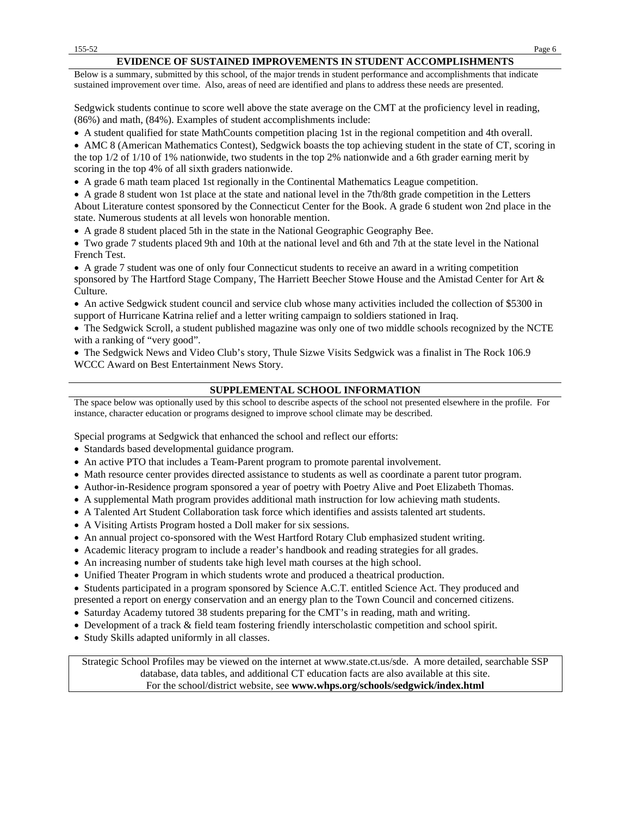#### **EVIDENCE OF SUSTAINED IMPROVEMENTS IN STUDENT ACCOMPLISHMENTS**

Below is a summary, submitted by this school, of the major trends in student performance and accomplishments that indicate sustained improvement over time. Also, areas of need are identified and plans to address these needs are presented.

Sedgwick students continue to score well above the state average on the CMT at the proficiency level in reading, (86%) and math, (84%). Examples of student accomplishments include:

• A student qualified for state MathCounts competition placing 1st in the regional competition and 4th overall.

• AMC 8 (American Mathematics Contest), Sedgwick boasts the top achieving student in the state of CT, scoring in the top 1/2 of 1/10 of 1% nationwide, two students in the top 2% nationwide and a 6th grader earning merit by scoring in the top 4% of all sixth graders nationwide.

• A grade 6 math team placed 1st regionally in the Continental Mathematics League competition.

• A grade 8 student won 1st place at the state and national level in the 7th/8th grade competition in the Letters About Literature contest sponsored by the Connecticut Center for the Book. A grade 6 student won 2nd place in the state. Numerous students at all levels won honorable mention.

• A grade 8 student placed 5th in the state in the National Geographic Geography Bee.

• Two grade 7 students placed 9th and 10th at the national level and 6th and 7th at the state level in the National French Test.

• A grade 7 student was one of only four Connecticut students to receive an award in a writing competition sponsored by The Hartford Stage Company, The Harriett Beecher Stowe House and the Amistad Center for Art & Culture.

• An active Sedgwick student council and service club whose many activities included the collection of \$5300 in support of Hurricane Katrina relief and a letter writing campaign to soldiers stationed in Iraq.

• The Sedgwick Scroll, a student published magazine was only one of two middle schools recognized by the NCTE with a ranking of "very good".

• The Sedgwick News and Video Club's story, Thule Sizwe Visits Sedgwick was a finalist in The Rock 106.9 WCCC Award on Best Entertainment News Story.

#### **SUPPLEMENTAL SCHOOL INFORMATION**

The space below was optionally used by this school to describe aspects of the school not presented elsewhere in the profile. For instance, character education or programs designed to improve school climate may be described.

Special programs at Sedgwick that enhanced the school and reflect our efforts:

- Standards based developmental guidance program.
- An active PTO that includes a Team-Parent program to promote parental involvement.
- Math resource center provides directed assistance to students as well as coordinate a parent tutor program.
- Author-in-Residence program sponsored a year of poetry with Poetry Alive and Poet Elizabeth Thomas.
- A supplemental Math program provides additional math instruction for low achieving math students.
- A Talented Art Student Collaboration task force which identifies and assists talented art students.
- A Visiting Artists Program hosted a Doll maker for six sessions.
- An annual project co-sponsored with the West Hartford Rotary Club emphasized student writing.
- Academic literacy program to include a reader's handbook and reading strategies for all grades.
- An increasing number of students take high level math courses at the high school.
- Unified Theater Program in which students wrote and produced a theatrical production.

• Students participated in a program sponsored by Science A.C.T. entitled Science Act. They produced and

presented a report on energy conservation and an energy plan to the Town Council and concerned citizens.

- Saturday Academy tutored 38 students preparing for the CMT's in reading, math and writing.
- Development of a track & field team fostering friendly interscholastic competition and school spirit.
- Study Skills adapted uniformly in all classes.

Strategic School Profiles may be viewed on the internet at www.state.ct.us/sde. A more detailed, searchable SSP database, data tables, and additional CT education facts are also available at this site. For the school/district website, see **www.whps.org/schools/sedgwick/index.html**